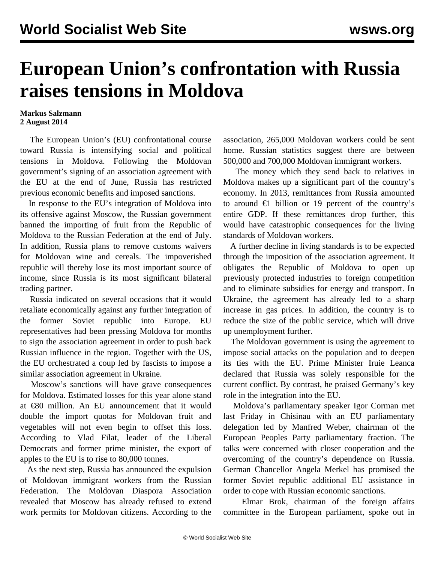## **European Union's confrontation with Russia raises tensions in Moldova**

## **Markus Salzmann 2 August 2014**

 The European Union's (EU) confrontational course toward Russia is intensifying social and political tensions in Moldova. Following the Moldovan government's signing of an association agreement with the EU at the end of June, Russia has restricted previous economic benefits and imposed sanctions.

 In response to the EU's integration of Moldova into its offensive against Moscow, the Russian government banned the importing of fruit from the Republic of Moldova to the Russian Federation at the end of July. In addition, Russia plans to remove customs waivers for Moldovan wine and cereals. The impoverished republic will thereby lose its most important source of income, since Russia is its most significant bilateral trading partner.

 Russia indicated on several occasions that it would retaliate economically against any further integration of the former Soviet republic into Europe. EU representatives had been pressing Moldova for months to sign the association agreement in order to push back Russian influence in the region. Together with the US, the EU orchestrated a coup led by fascists to impose a similar association agreement in Ukraine.

 Moscow's sanctions will have grave consequences for Moldova. Estimated losses for this year alone stand at €80 million. An EU announcement that it would double the import quotas for Moldovan fruit and vegetables will not even begin to offset this loss. According to Vlad Filat, leader of the Liberal Democrats and former prime minister, the export of apples to the EU is to rise to 80,000 tonnes.

 As the next step, Russia has announced the expulsion of Moldovan immigrant workers from the Russian Federation. The Moldovan Diaspora Association revealed that Moscow has already refused to extend work permits for Moldovan citizens. According to the

association, 265,000 Moldovan workers could be sent home. Russian statistics suggest there are between 500,000 and 700,000 Moldovan immigrant workers.

 The money which they send back to relatives in Moldova makes up a significant part of the country's economy. In 2013, remittances from Russia amounted to around  $\epsilon$ 1 billion or 19 percent of the country's entire GDP. If these remittances drop further, this would have catastrophic consequences for the living standards of Moldovan workers.

 A further decline in living standards is to be expected through the imposition of the association agreement. It obligates the Republic of Moldova to open up previously protected industries to foreign competition and to eliminate subsidies for energy and transport. In Ukraine, the agreement has already led to a sharp increase in gas prices. In addition, the country is to reduce the size of the public service, which will drive up unemployment further.

 The Moldovan government is using the agreement to impose social attacks on the population and to deepen its ties with the EU. Prime Minister Iruie Leanca declared that Russia was solely responsible for the current conflict. By contrast, he praised Germany's key role in the integration into the EU.

 Moldova's parliamentary speaker Igor Corman met last Friday in Chisinau with an EU parliamentary delegation led by Manfred Weber, chairman of the European Peoples Party parliamentary fraction. The talks were concerned with closer cooperation and the overcoming of the country's dependence on Russia. German Chancellor Angela Merkel has promised the former Soviet republic additional EU assistance in order to cope with Russian economic sanctions.

 Elmar Brok, chairman of the foreign affairs committee in the European parliament, spoke out in